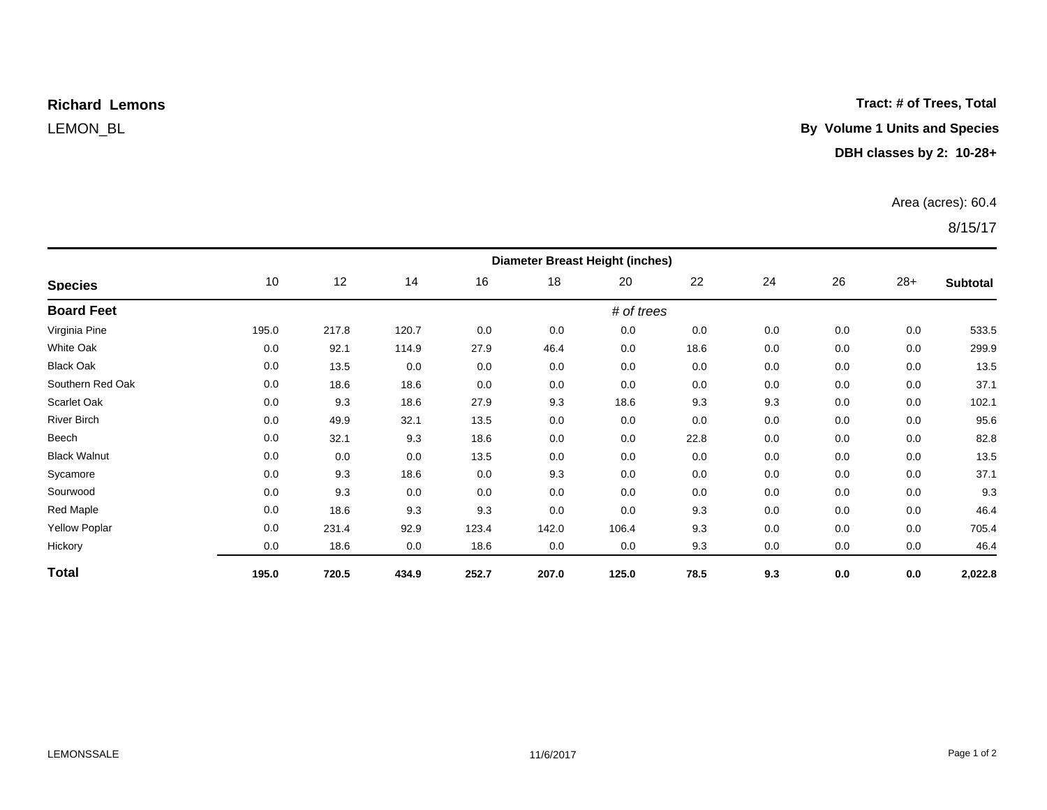# **Richard Lemons**

### **Tract: # of Trees, Total**

# LEMON\_BL **By Volume 1 Units and Species**

## **DBH classes by 2: 10-28+**

### Area (acres): 60.4

# 8/15/17

| <b>Species</b>       | <b>Diameter Breast Height (inches)</b> |       |       |       |       |       |      |     |         |       |                 |  |
|----------------------|----------------------------------------|-------|-------|-------|-------|-------|------|-----|---------|-------|-----------------|--|
|                      | 10                                     | 12    | 14    | 16    | 18    | 20    | 22   | 24  | 26      | $28+$ | <b>Subtotal</b> |  |
| <b>Board Feet</b>    | # of trees                             |       |       |       |       |       |      |     |         |       |                 |  |
| Virginia Pine        | 195.0                                  | 217.8 | 120.7 | 0.0   | 0.0   | 0.0   | 0.0  | 0.0 | 0.0     | 0.0   | 533.5           |  |
| <b>White Oak</b>     | 0.0                                    | 92.1  | 114.9 | 27.9  | 46.4  | 0.0   | 18.6 | 0.0 | 0.0     | 0.0   | 299.9           |  |
| <b>Black Oak</b>     | 0.0                                    | 13.5  | 0.0   | 0.0   | 0.0   | 0.0   | 0.0  | 0.0 | 0.0     | 0.0   | 13.5            |  |
| Southern Red Oak     | 0.0                                    | 18.6  | 18.6  | 0.0   | 0.0   | 0.0   | 0.0  | 0.0 | 0.0     | 0.0   | 37.1            |  |
| Scarlet Oak          | 0.0                                    | 9.3   | 18.6  | 27.9  | 9.3   | 18.6  | 9.3  | 9.3 | 0.0     | 0.0   | 102.1           |  |
| River Birch          | 0.0                                    | 49.9  | 32.1  | 13.5  | 0.0   | 0.0   | 0.0  | 0.0 | 0.0     | 0.0   | 95.6            |  |
| Beech                | 0.0                                    | 32.1  | 9.3   | 18.6  | 0.0   | 0.0   | 22.8 | 0.0 | 0.0     | 0.0   | 82.8            |  |
| <b>Black Walnut</b>  | 0.0                                    | 0.0   | 0.0   | 13.5  | 0.0   | 0.0   | 0.0  | 0.0 | 0.0     | 0.0   | 13.5            |  |
| Sycamore             | 0.0                                    | 9.3   | 18.6  | 0.0   | 9.3   | 0.0   | 0.0  | 0.0 | 0.0     | 0.0   | 37.1            |  |
| Sourwood             | 0.0                                    | 9.3   | 0.0   | 0.0   | 0.0   | 0.0   | 0.0  | 0.0 | 0.0     | 0.0   | 9.3             |  |
| Red Maple            | 0.0                                    | 18.6  | 9.3   | 9.3   | 0.0   | 0.0   | 9.3  | 0.0 | 0.0     | 0.0   | 46.4            |  |
| <b>Yellow Poplar</b> | 0.0                                    | 231.4 | 92.9  | 123.4 | 142.0 | 106.4 | 9.3  | 0.0 | 0.0     | 0.0   | 705.4           |  |
| Hickory              | 0.0                                    | 18.6  | 0.0   | 18.6  | 0.0   | 0.0   | 9.3  | 0.0 | 0.0     | 0.0   | 46.4            |  |
| <b>Total</b>         | 195.0                                  | 720.5 | 434.9 | 252.7 | 207.0 | 125.0 | 78.5 | 9.3 | $0.0\,$ | 0.0   | 2,022.8         |  |